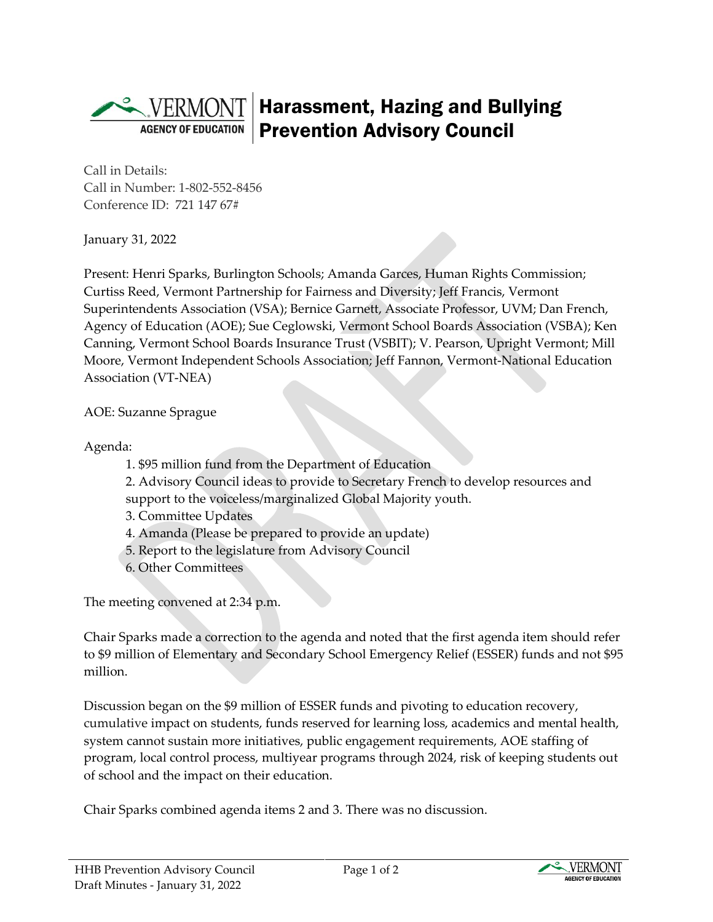## Harassment, Hazing and Bullying Prevention Advisory Council **AGENCY OF EDUCATION**

Call in Details: Call in Number: 1-802-552-8456 Conference ID: 721 147 67#

January 31, 2022

Present: Henri Sparks, Burlington Schools; Amanda Garces, Human Rights Commission; Curtiss Reed, Vermont Partnership for Fairness and Diversity; Jeff Francis, Vermont Superintendents Association (VSA); Bernice Garnett, Associate Professor, UVM; Dan French, Agency of Education (AOE); Sue Ceglowski, Vermont School Boards Association (VSBA); Ken Canning, Vermont School Boards Insurance Trust (VSBIT); V. Pearson, Upright Vermont; Mill Moore, Vermont Independent Schools Association; Jeff Fannon, Vermont-National Education Association (VT-NEA)

AOE: Suzanne Sprague

Agenda:

- 1. \$95 million fund from the Department of Education
- 2. Advisory Council ideas to provide to Secretary French to develop resources and
- support to the voiceless/marginalized Global Majority youth.
- 3. Committee Updates
- 4. Amanda (Please be prepared to provide an update)
- 5. Report to the legislature from Advisory Council
- 6. Other Committees

The meeting convened at 2:34 p.m.

Chair Sparks made a correction to the agenda and noted that the first agenda item should refer to \$9 million of Elementary and Secondary School Emergency Relief (ESSER) funds and not \$95 million.

Discussion began on the \$9 million of ESSER funds and pivoting to education recovery, cumulative impact on students, funds reserved for learning loss, academics and mental health, system cannot sustain more initiatives, public engagement requirements, AOE staffing of program, local control process, multiyear programs through 2024, risk of keeping students out of school and the impact on their education.

Chair Sparks combined agenda items 2 and 3. There was no discussion.